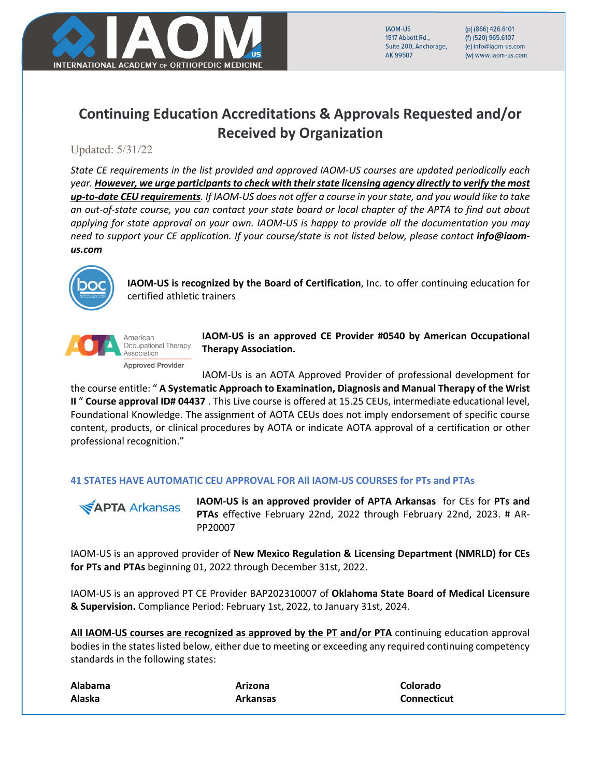

**IAOM-US** 1917 Abbott Rd Suite 200, Anchorage, AK 99507

(p) (866) 426.6101 (f) (520) 965,6107 (e) info@iaom-us.com (w) www.iaom-us.com

# **Continuing Education Accreditations & Approvals Requested and/or Received by Organization**

## Updated: 5/31/22

*State CE requirements in the list provided and approved IAOM-US courses are updated periodically each year. However, we urge participants to check with their state licensing agency directly to verify the most up-to-date CEU requirements. If IAOM-US does not offer a course in your state, and you would like to take an out-of-state course, you can contact your state board or local chapter of the APTA to find out about applying for state approval on your own. IAOM-US is happy to provide all the documentation you may need to support your CE application. If your course/state is not listed below, please contact info@iaomus.com*



**IAOM-US is recognized by the Board of Certification**, Inc. to offer continuing education for certified athletic trainers



**IAOM-US is an approved CE Provider #0540 by American Occupational Therapy Association.** 

IAOM-Us is an AOTA Approved Provider of professional development for the course entitle: " **A Systematic Approach to Examination, Diagnosis and Manual Therapy of the Wrist II** " **Course approval ID# 04437** . This Live course is offered at 15.25 CEUs, intermediate educational level, Foundational Knowledge. The assignment of AOTA CEUs does not imply endorsement of specific course content, products, or clinical procedures by AOTA or indicate AOTA approval of a certification or other professional recognition."

### **41 STATES HAVE AUTOMATIC CEU APPROVAL FOR All IAOM-US COURSES for PTs and PTAs**



**IAOM-US is an approved provider of APTA Arkansas** for CEs for **PTs and PTAs** effective February 22nd, 2022 through February 22nd, 2023. # AR-PP20007

IAOM-US is an approved provider of **New Mexico Regulation & Licensing Department (NMRLD) for CEs for PTs and PTAs** beginning 01, 2022 through December 31st, 2022.

IAOM-US is an approved PT CE Provider BAP202310007 of **Oklahoma State Board of Medical Licensure & Supervision.** Compliance Period: February 1st, 2022, to January 31st, 2024.

All IAOM-US courses are recognized as approved by the PT and/or PTA continuing education approval bodies in the states listed below, either due to meeting or exceeding any required continuing competency standards in the following states:

| Alabama | Arizona         | Colorado           |
|---------|-----------------|--------------------|
| Alaska  | <b>Arkansas</b> | <b>Connecticut</b> |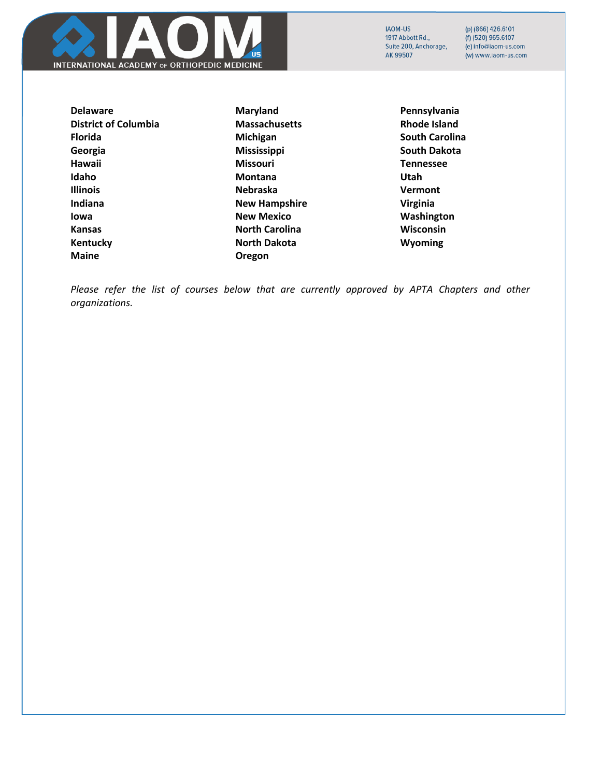

(p) (866) 426.6101  $(f)$  (520) 965.6107 (e) info@iaom-us.com (w) www.iaom-us.com

**Delaware District of Columbia Florida Georgia Hawaii Idaho Illinois Indiana Iowa Kansas Kentucky Maine**

**Maryland Massachusetts Michigan Mississippi Missouri Montana Nebraska New Hampshire New Mexico North Carolina North Dakota Oregon** 

**Pennsylvania Rhode Island South Carolina South Dakota Tennessee Utah Vermont Virginia Washington Wisconsin Wyoming**

*Please refer the list of courses below that are currently approved by APTA Chapters and other organizations.*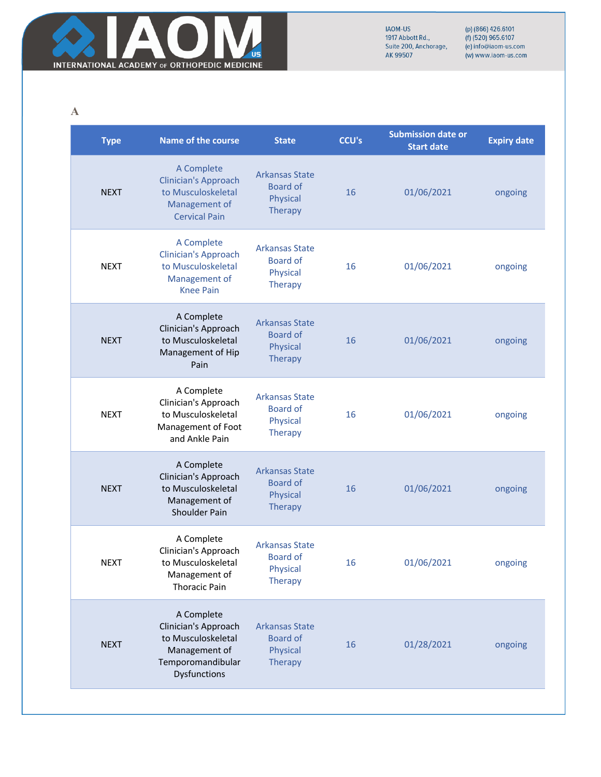

(p) (866) 426.6101<br>(f) (520) 965.6107<br>(e) info@iaom-us.com (w) www.iaom-us.com

**A**

| <b>Type</b> | <b>Name of the course</b>                                                                                      | <b>State</b>                                                           | <b>CCU's</b> | <b>Submission date or</b><br><b>Start date</b> | <b>Expiry date</b> |
|-------------|----------------------------------------------------------------------------------------------------------------|------------------------------------------------------------------------|--------------|------------------------------------------------|--------------------|
| <b>NEXT</b> | A Complete<br><b>Clinician's Approach</b><br>to Musculoskeletal<br>Management of<br><b>Cervical Pain</b>       | <b>Arkansas State</b><br><b>Board of</b><br>Physical<br><b>Therapy</b> | 16           | 01/06/2021                                     | ongoing            |
| <b>NEXT</b> | A Complete<br><b>Clinician's Approach</b><br>to Musculoskeletal<br>Management of<br><b>Knee Pain</b>           | <b>Arkansas State</b><br><b>Board of</b><br>Physical<br><b>Therapy</b> | 16           | 01/06/2021                                     | ongoing            |
| <b>NEXT</b> | A Complete<br>Clinician's Approach<br>to Musculoskeletal<br>Management of Hip<br>Pain                          | <b>Arkansas State</b><br><b>Board of</b><br>Physical<br>Therapy        | 16           | 01/06/2021                                     | ongoing            |
| <b>NEXT</b> | A Complete<br>Clinician's Approach<br>to Musculoskeletal<br>Management of Foot<br>and Ankle Pain               | <b>Arkansas State</b><br><b>Board of</b><br>Physical<br><b>Therapy</b> | 16           | 01/06/2021                                     | ongoing            |
| <b>NEXT</b> | A Complete<br>Clinician's Approach<br>to Musculoskeletal<br>Management of<br>Shoulder Pain                     | <b>Arkansas State</b><br><b>Board of</b><br>Physical<br>Therapy        | 16           | 01/06/2021                                     | ongoing            |
| <b>NEXT</b> | A Complete<br>Clinician's Approach<br>to Musculoskeletal<br>Management of<br><b>Thoracic Pain</b>              | <b>Arkansas State</b><br><b>Board of</b><br>Physical<br><b>Therapy</b> | 16           | 01/06/2021                                     | ongoing            |
| <b>NEXT</b> | A Complete<br>Clinician's Approach<br>to Musculoskeletal<br>Management of<br>Temporomandibular<br>Dysfunctions | <b>Arkansas State</b><br><b>Board of</b><br>Physical<br>Therapy        | 16           | 01/28/2021                                     | ongoing            |
|             |                                                                                                                |                                                                        |              |                                                |                    |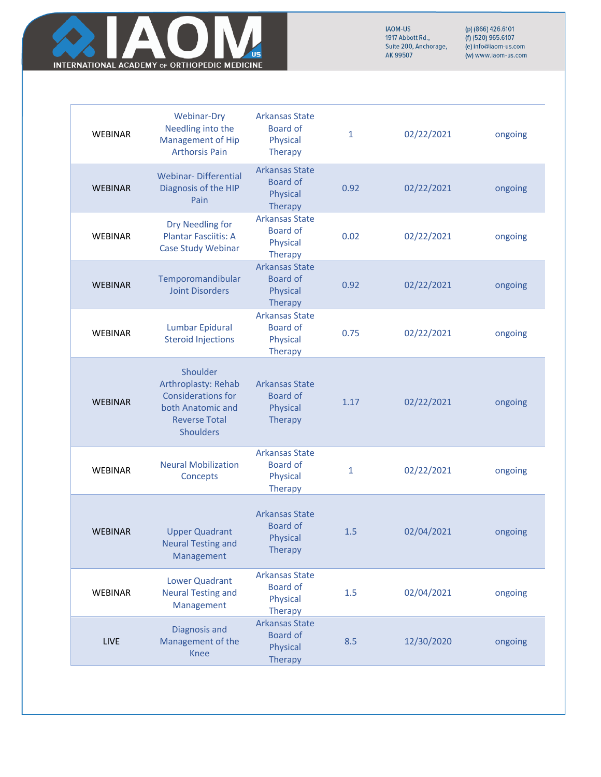

|                | <b>Webinar-Dry</b>                                                                                                            | <b>Arkansas State</b>                                                  |              |            |         |
|----------------|-------------------------------------------------------------------------------------------------------------------------------|------------------------------------------------------------------------|--------------|------------|---------|
| <b>WEBINAR</b> | Needling into the<br><b>Management of Hip</b><br><b>Arthorsis Pain</b>                                                        | <b>Board of</b><br>Physical<br><b>Therapy</b>                          | $\mathbf{1}$ | 02/22/2021 | ongoing |
| <b>WEBINAR</b> | <b>Webinar-Differential</b><br>Diagnosis of the HIP<br>Pain                                                                   | <b>Arkansas State</b><br><b>Board of</b><br>Physical<br>Therapy        | 0.92         | 02/22/2021 | ongoing |
| <b>WEBINAR</b> | Dry Needling for<br><b>Plantar Fasciitis: A</b><br>Case Study Webinar                                                         | <b>Arkansas State</b><br><b>Board of</b><br>Physical<br><b>Therapy</b> | 0.02         | 02/22/2021 | ongoing |
| <b>WEBINAR</b> | Temporomandibular<br><b>Joint Disorders</b>                                                                                   | <b>Arkansas State</b><br><b>Board of</b><br>Physical<br><b>Therapy</b> | 0.92         | 02/22/2021 | ongoing |
| <b>WEBINAR</b> | <b>Lumbar Epidural</b><br><b>Steroid Injections</b>                                                                           | <b>Arkansas State</b><br><b>Board of</b><br>Physical<br><b>Therapy</b> | 0.75         | 02/22/2021 | ongoing |
| <b>WEBINAR</b> | Shoulder<br>Arthroplasty: Rehab<br><b>Considerations for</b><br>both Anatomic and<br><b>Reverse Total</b><br><b>Shoulders</b> | <b>Arkansas State</b><br><b>Board of</b><br>Physical<br>Therapy        | 1.17         | 02/22/2021 | ongoing |
| <b>WEBINAR</b> | <b>Neural Mobilization</b><br>Concepts                                                                                        | <b>Arkansas State</b><br><b>Board of</b><br>Physical<br><b>Therapy</b> | $\mathbf{1}$ | 02/22/2021 | ongoing |
| <b>WEBINAR</b> | <b>Upper Quadrant</b><br><b>Neural Testing and</b><br>Management                                                              | <b>Arkansas State</b><br><b>Board of</b><br>Physical<br><b>Therapy</b> | 1.5          | 02/04/2021 | ongoing |
| <b>WEBINAR</b> | <b>Lower Quadrant</b><br><b>Neural Testing and</b><br>Management                                                              | <b>Arkansas State</b><br><b>Board of</b><br>Physical<br>Therapy        | 1.5          | 02/04/2021 | ongoing |
| LIVE           | Diagnosis and<br>Management of the<br><b>Knee</b>                                                                             | <b>Arkansas State</b><br><b>Board of</b><br>Physical<br><b>Therapy</b> | 8.5          | 12/30/2020 | ongoing |
|                |                                                                                                                               |                                                                        |              |            |         |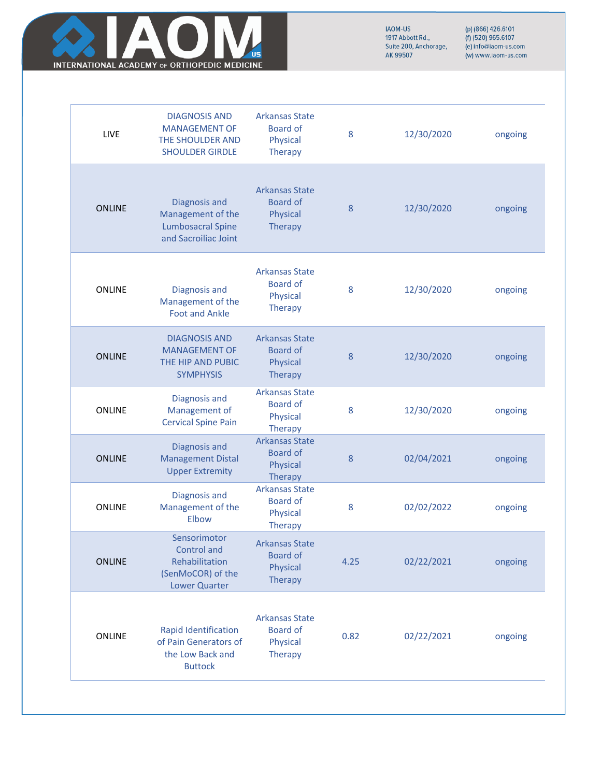

| LIVE          | <b>DIAGNOSIS AND</b><br><b>MANAGEMENT OF</b><br>THE SHOULDER AND<br><b>SHOULDER GIRDLE</b> | <b>Arkansas State</b><br><b>Board of</b><br>Physical<br>Therapy        | 8    | 12/30/2020 | ongoing |
|---------------|--------------------------------------------------------------------------------------------|------------------------------------------------------------------------|------|------------|---------|
| <b>ONLINE</b> | Diagnosis and<br>Management of the<br><b>Lumbosacral Spine</b><br>and Sacroiliac Joint     | <b>Arkansas State</b><br><b>Board of</b><br>Physical<br>Therapy        | 8    | 12/30/2020 | ongoing |
| <b>ONLINE</b> | Diagnosis and<br>Management of the<br><b>Foot and Ankle</b>                                | <b>Arkansas State</b><br><b>Board of</b><br>Physical<br><b>Therapy</b> | 8    | 12/30/2020 | ongoing |
| <b>ONLINE</b> | <b>DIAGNOSIS AND</b><br><b>MANAGEMENT OF</b><br>THE HIP AND PUBIC<br><b>SYMPHYSIS</b>      | <b>Arkansas State</b><br><b>Board of</b><br>Physical<br>Therapy        | 8    | 12/30/2020 | ongoing |
| ONLINE        | Diagnosis and<br>Management of<br><b>Cervical Spine Pain</b>                               | <b>Arkansas State</b><br><b>Board of</b><br>Physical<br>Therapy        | 8    | 12/30/2020 | ongoing |
| <b>ONLINE</b> | Diagnosis and<br><b>Management Distal</b><br><b>Upper Extremity</b>                        | <b>Arkansas State</b><br><b>Board of</b><br>Physical<br><b>Therapy</b> | 8    | 02/04/2021 | ongoing |
| ONLINE        | Diagnosis and<br>Management of the<br>Elbow                                                | <b>Arkansas State</b><br><b>Board of</b><br>Physical<br><b>Therapy</b> | 8    | 02/02/2022 | ongoing |
| <b>ONLINE</b> | Sensorimotor<br>Control and<br>Rehabilitation<br>(SenMoCOR) of the<br><b>Lower Quarter</b> | <b>Arkansas State</b><br><b>Board of</b><br>Physical<br>Therapy        | 4.25 | 02/22/2021 | ongoing |
| <b>ONLINE</b> | Rapid Identification<br>of Pain Generators of<br>the Low Back and<br><b>Buttock</b>        | <b>Arkansas State</b><br><b>Board of</b><br>Physical<br>Therapy        | 0.82 | 02/22/2021 | ongoing |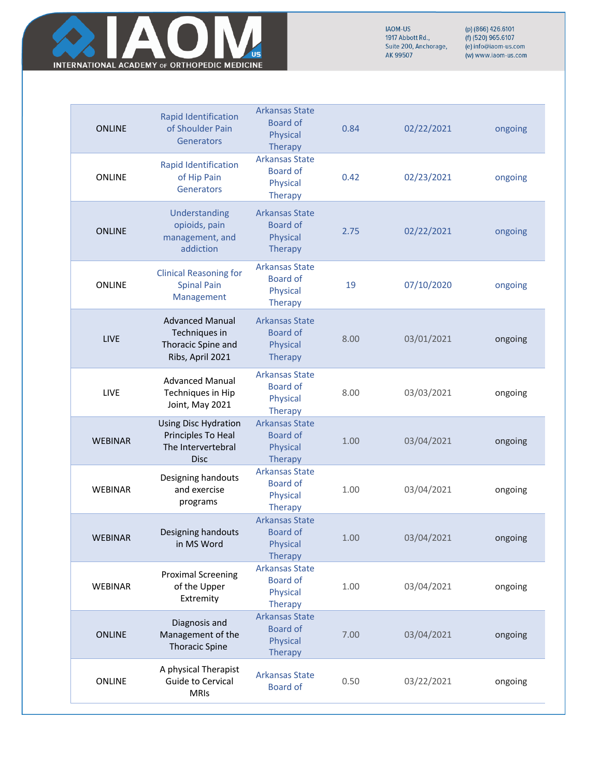

| <b>ONLINE</b>  | Rapid Identification<br>of Shoulder Pain<br>Generators                                 | <b>Arkansas State</b><br><b>Board of</b><br>Physical<br><b>Therapy</b>        | 0.84 | 02/22/2021 | ongoing |
|----------------|----------------------------------------------------------------------------------------|-------------------------------------------------------------------------------|------|------------|---------|
| <b>ONLINE</b>  | Rapid Identification<br>of Hip Pain<br>Generators                                      | <b>Arkansas State</b><br><b>Board of</b><br>Physical<br><b>Therapy</b>        | 0.42 | 02/23/2021 | ongoing |
| <b>ONLINE</b>  | Understanding<br>opioids, pain<br>management, and<br>addiction                         | <b>Arkansas State</b><br><b>Board of</b><br>Physical<br><b>Therapy</b>        | 2.75 | 02/22/2021 | ongoing |
| <b>ONLINE</b>  | <b>Clinical Reasoning for</b><br><b>Spinal Pain</b><br>Management                      | <b>Arkansas State</b><br><b>Board of</b><br>Physical<br><b>Therapy</b>        | 19   | 07/10/2020 | ongoing |
| LIVE           | <b>Advanced Manual</b><br>Techniques in<br>Thoracic Spine and<br>Ribs, April 2021      | <b>Arkansas State</b><br><b>Board of</b><br><b>Physical</b><br><b>Therapy</b> | 8.00 | 03/01/2021 | ongoing |
| LIVE           | <b>Advanced Manual</b><br>Techniques in Hip<br>Joint, May 2021                         | <b>Arkansas State</b><br><b>Board of</b><br>Physical<br><b>Therapy</b>        | 8.00 | 03/03/2021 | ongoing |
| <b>WEBINAR</b> | <b>Using Disc Hydration</b><br>Principles To Heal<br>The Intervertebral<br><b>Disc</b> | <b>Arkansas State</b><br><b>Board of</b><br>Physical<br>Therapy               | 1.00 | 03/04/2021 | ongoing |
| <b>WEBINAR</b> | Designing handouts<br>and exercise<br>programs                                         | <b>Arkansas State</b><br><b>Board of</b><br>Physical<br><b>Therapy</b>        | 1.00 | 03/04/2021 | ongoing |
| <b>WEBINAR</b> | Designing handouts<br>in MS Word                                                       | <b>Arkansas State</b><br>Board of<br>Physical<br><b>Therapy</b>               | 1.00 | 03/04/2021 | ongoing |
| <b>WEBINAR</b> | <b>Proximal Screening</b><br>of the Upper<br>Extremity                                 | <b>Arkansas State</b><br><b>Board of</b><br><b>Physical</b><br><b>Therapy</b> | 1.00 | 03/04/2021 | ongoing |
| <b>ONLINE</b>  | Diagnosis and<br>Management of the<br><b>Thoracic Spine</b>                            | <b>Arkansas State</b><br><b>Board of</b><br>Physical<br><b>Therapy</b>        | 7.00 | 03/04/2021 | ongoing |
| <b>ONLINE</b>  | A physical Therapist<br>Guide to Cervical<br><b>MRIs</b>                               | <b>Arkansas State</b><br><b>Board of</b>                                      | 0.50 | 03/22/2021 | ongoing |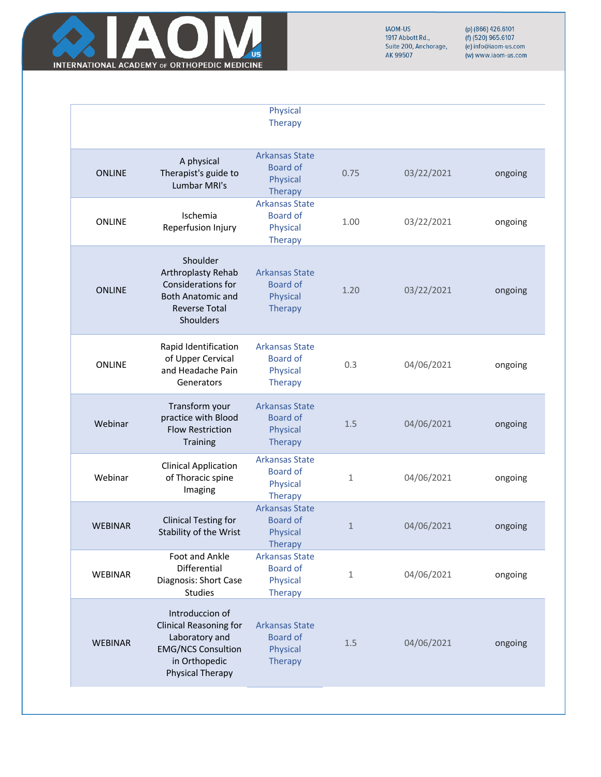

|                |                                                                                                                                             | Physical<br>Therapy                                                    |              |            |         |
|----------------|---------------------------------------------------------------------------------------------------------------------------------------------|------------------------------------------------------------------------|--------------|------------|---------|
| <b>ONLINE</b>  | A physical<br>Therapist's guide to<br>Lumbar MRI's                                                                                          | <b>Arkansas State</b><br><b>Board of</b><br>Physical<br><b>Therapy</b> | 0.75         | 03/22/2021 | ongoing |
| <b>ONLINE</b>  | Ischemia<br>Reperfusion Injury                                                                                                              | <b>Arkansas State</b><br><b>Board of</b><br>Physical<br><b>Therapy</b> | 1.00         | 03/22/2021 | ongoing |
| <b>ONLINE</b>  | Shoulder<br>Arthroplasty Rehab<br>Considerations for<br><b>Both Anatomic and</b><br><b>Reverse Total</b><br>Shoulders                       | <b>Arkansas State</b><br><b>Board of</b><br>Physical<br><b>Therapy</b> | 1.20         | 03/22/2021 | ongoing |
| <b>ONLINE</b>  | Rapid Identification<br>of Upper Cervical<br>and Headache Pain<br>Generators                                                                | <b>Arkansas State</b><br><b>Board of</b><br>Physical<br><b>Therapy</b> | 0.3          | 04/06/2021 | ongoing |
| Webinar        | Transform your<br>practice with Blood<br><b>Flow Restriction</b><br><b>Training</b>                                                         | <b>Arkansas State</b><br><b>Board of</b><br>Physical<br>Therapy        | 1.5          | 04/06/2021 | ongoing |
| Webinar        | <b>Clinical Application</b><br>of Thoracic spine<br>Imaging                                                                                 | <b>Arkansas State</b><br><b>Board of</b><br>Physical<br><b>Therapy</b> | 1            | 04/06/2021 | ongoing |
| <b>WEBINAR</b> | <b>Clinical Testing for</b><br>Stability of the Wrist                                                                                       | <b>Arkansas State</b><br><b>Board of</b><br>Physical<br><b>Therapy</b> | $\mathbf{1}$ | 04/06/2021 | ongoing |
| <b>WEBINAR</b> | Foot and Ankle<br>Differential<br>Diagnosis: Short Case<br><b>Studies</b>                                                                   | <b>Arkansas State</b><br><b>Board of</b><br>Physical<br><b>Therapy</b> | 1            | 04/06/2021 | ongoing |
| <b>WEBINAR</b> | Introduccion of<br><b>Clinical Reasoning for</b><br>Laboratory and<br><b>EMG/NCS Consultion</b><br>in Orthopedic<br><b>Physical Therapy</b> | <b>Arkansas State</b><br><b>Board of</b><br>Physical<br><b>Therapy</b> | 1.5          | 04/06/2021 | ongoing |
|                |                                                                                                                                             |                                                                        |              |            |         |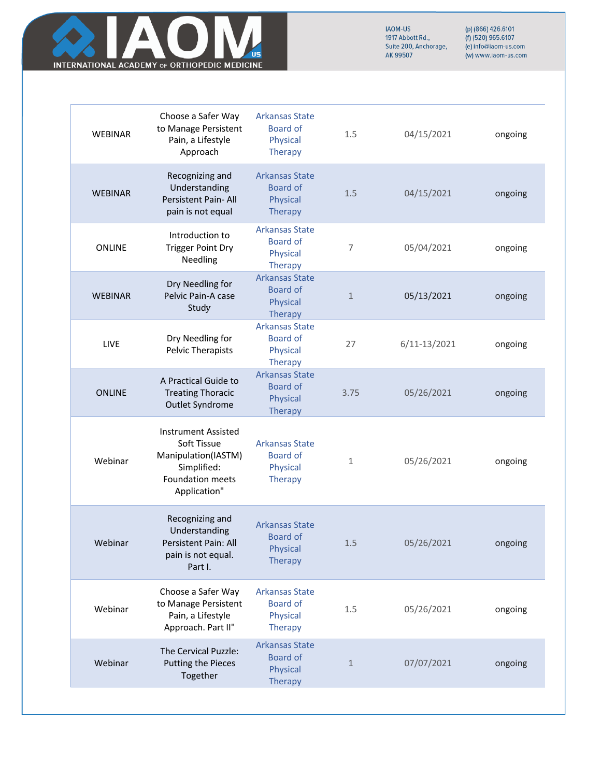

| <b>WEBINAR</b> | Choose a Safer Way<br>to Manage Persistent<br>Pain, a Lifestyle<br>Approach                                         | <b>Arkansas State</b><br><b>Board of</b><br>Physical<br><b>Therapy</b>        | 1.5            | 04/15/2021       | ongoing |
|----------------|---------------------------------------------------------------------------------------------------------------------|-------------------------------------------------------------------------------|----------------|------------------|---------|
| <b>WEBINAR</b> | Recognizing and<br>Understanding<br>Persistent Pain- All<br>pain is not equal                                       | <b>Arkansas State</b><br><b>Board of</b><br>Physical<br><b>Therapy</b>        | 1.5            | 04/15/2021       | ongoing |
| <b>ONLINE</b>  | Introduction to<br><b>Trigger Point Dry</b><br>Needling                                                             | <b>Arkansas State</b><br><b>Board of</b><br>Physical<br><b>Therapy</b>        | $\overline{7}$ | 05/04/2021       | ongoing |
| <b>WEBINAR</b> | Dry Needling for<br>Pelvic Pain-A case<br>Study                                                                     | <b>Arkansas State</b><br><b>Board of</b><br>Physical<br><b>Therapy</b>        | $\mathbf{1}$   | 05/13/2021       | ongoing |
| LIVE           | Dry Needling for<br>Pelvic Therapists                                                                               | <b>Arkansas State</b><br><b>Board of</b><br>Physical<br><b>Therapy</b>        | 27             | $6/11 - 13/2021$ | ongoing |
| <b>ONLINE</b>  | A Practical Guide to<br><b>Treating Thoracic</b><br>Outlet Syndrome                                                 | <b>Arkansas State</b><br><b>Board of</b><br>Physical<br><b>Therapy</b>        | 3.75           | 05/26/2021       | ongoing |
| Webinar        | <b>Instrument Assisted</b><br>Soft Tissue<br>Manipulation(IASTM)<br>Simplified:<br>Foundation meets<br>Application" | <b>Arkansas State</b><br><b>Board of</b><br>Physical<br><b>Therapy</b>        | $\mathbf{1}$   | 05/26/2021       | ongoing |
| Webinar        | Recognizing and<br>Understanding<br>Persistent Pain: All<br>pain is not equal.<br>Part I.                           | <b>Arkansas State</b><br><b>Board of</b><br><b>Physical</b><br><b>Therapy</b> | $1.5$          | 05/26/2021       | ongoing |
| Webinar        | Choose a Safer Way<br>to Manage Persistent<br>Pain, a Lifestyle<br>Approach. Part II"                               | <b>Arkansas State</b><br><b>Board of</b><br>Physical<br><b>Therapy</b>        | 1.5            | 05/26/2021       | ongoing |
| Webinar        | The Cervical Puzzle:<br><b>Putting the Pieces</b><br>Together                                                       | <b>Arkansas State</b><br><b>Board of</b><br>Physical<br><b>Therapy</b>        | $\mathbf{1}$   | 07/07/2021       | ongoing |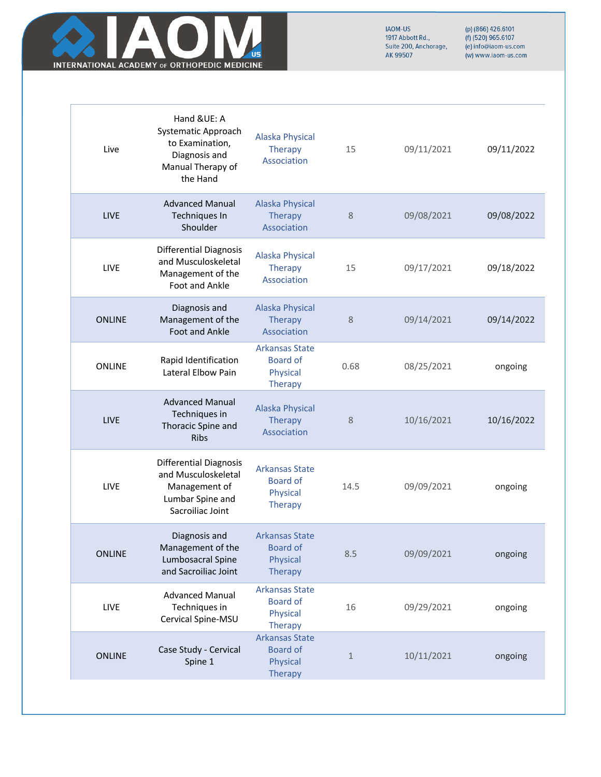

| Live          | Hand &UE: A<br>Systematic Approach<br>to Examination,<br>Diagnosis and<br>Manual Therapy of<br>the Hand       | <b>Alaska Physical</b><br>Therapy<br>Association                              | 15           | 09/11/2021 | 09/11/2022 |
|---------------|---------------------------------------------------------------------------------------------------------------|-------------------------------------------------------------------------------|--------------|------------|------------|
| <b>LIVE</b>   | <b>Advanced Manual</b><br>Techniques In<br>Shoulder                                                           | <b>Alaska Physical</b><br>Therapy<br>Association                              | $\,8\,$      | 09/08/2021 | 09/08/2022 |
| LIVE          | <b>Differential Diagnosis</b><br>and Musculoskeletal<br>Management of the<br>Foot and Ankle                   | <b>Alaska Physical</b><br><b>Therapy</b><br>Association                       | 15           | 09/17/2021 | 09/18/2022 |
| <b>ONLINE</b> | Diagnosis and<br>Management of the<br><b>Foot and Ankle</b>                                                   | <b>Alaska Physical</b><br><b>Therapy</b><br>Association                       | 8            | 09/14/2021 | 09/14/2022 |
| <b>ONLINE</b> | Rapid Identification<br>Lateral Elbow Pain                                                                    | <b>Arkansas State</b><br><b>Board of</b><br>Physical<br><b>Therapy</b>        | 0.68         | 08/25/2021 | ongoing    |
| <b>LIVE</b>   | <b>Advanced Manual</b><br>Techniques in<br>Thoracic Spine and<br><b>Ribs</b>                                  | <b>Alaska Physical</b><br>Therapy<br>Association                              | 8            | 10/16/2021 | 10/16/2022 |
| LIVE          | <b>Differential Diagnosis</b><br>and Musculoskeletal<br>Management of<br>Lumbar Spine and<br>Sacroiliac Joint | <b>Arkansas State</b><br><b>Board of</b><br>Physical<br><b>Therapy</b>        | 14.5         | 09/09/2021 | ongoing    |
| <b>ONLINE</b> | Diagnosis and<br>Management of the<br>Lumbosacral Spine<br>and Sacroiliac Joint                               | <b>Arkansas State</b><br><b>Board of</b><br><b>Physical</b><br><b>Therapy</b> | 8.5          | 09/09/2021 | ongoing    |
| LIVE          | <b>Advanced Manual</b><br>Techniques in<br>Cervical Spine-MSU                                                 | <b>Arkansas State</b><br><b>Board of</b><br>Physical<br><b>Therapy</b>        | 16           | 09/29/2021 | ongoing    |
| <b>ONLINE</b> | Case Study - Cervical<br>Spine 1                                                                              | <b>Arkansas State</b><br><b>Board of</b><br>Physical                          | $\mathbf{1}$ | 10/11/2021 | ongoing    |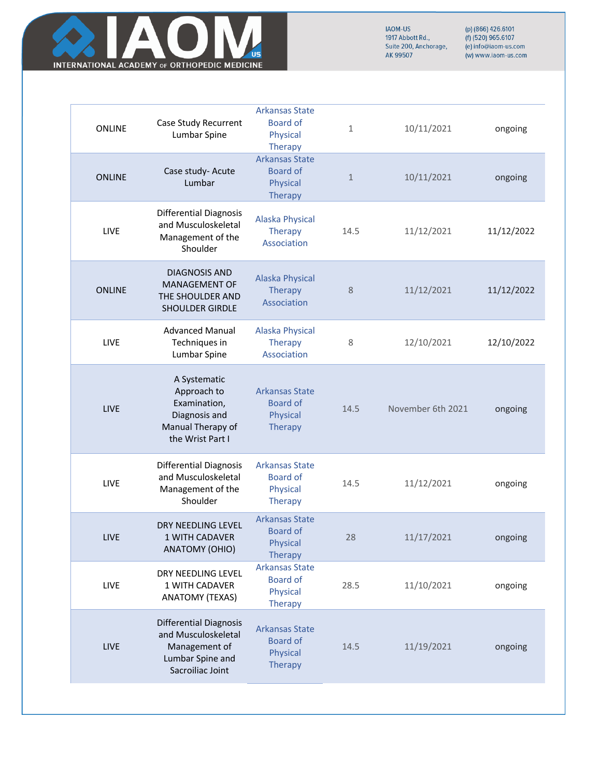

| <b>ONLINE</b> | Case Study Recurrent<br>Lumbar Spine                                                                          | <b>Arkansas State</b><br><b>Board of</b><br>Physical<br><b>Therapy</b> | $\mathbf{1}$ | 10/11/2021        | ongoing    |
|---------------|---------------------------------------------------------------------------------------------------------------|------------------------------------------------------------------------|--------------|-------------------|------------|
| <b>ONLINE</b> | Case study- Acute<br>Lumbar                                                                                   | <b>Arkansas State</b><br><b>Board of</b><br>Physical<br><b>Therapy</b> | $\mathbf{1}$ | 10/11/2021        | ongoing    |
| <b>LIVE</b>   | <b>Differential Diagnosis</b><br>and Musculoskeletal<br>Management of the<br>Shoulder                         | <b>Alaska Physical</b><br>Therapy<br>Association                       | 14.5         | 11/12/2021        | 11/12/2022 |
| <b>ONLINE</b> | <b>DIAGNOSIS AND</b><br>MANAGEMENT OF<br>THE SHOULDER AND<br>SHOULDER GIRDLE                                  | <b>Alaska Physical</b><br>Therapy<br>Association                       | 8            | 11/12/2021        | 11/12/2022 |
| LIVE          | <b>Advanced Manual</b><br>Techniques in<br>Lumbar Spine                                                       | <b>Alaska Physical</b><br>Therapy<br>Association                       | 8            | 12/10/2021        | 12/10/2022 |
| <b>LIVE</b>   | A Systematic<br>Approach to<br>Examination,<br>Diagnosis and<br>Manual Therapy of<br>the Wrist Part I         | <b>Arkansas State</b><br><b>Board of</b><br>Physical<br><b>Therapy</b> | 14.5         | November 6th 2021 | ongoing    |
| <b>LIVE</b>   | <b>Differential Diagnosis</b><br>and Musculoskeletal<br>Management of the<br>Shoulder                         | <b>Arkansas State</b><br><b>Board of</b><br>Physical<br><b>Therapy</b> | 14.5         | 11/12/2021        | ongoing    |
| <b>LIVE</b>   | DRY NEEDLING LEVEL<br>1 WITH CADAVER<br>ANATOMY (OHIO)                                                        | <b>Arkansas State</b><br><b>Board of</b><br>Physical<br><b>Therapy</b> | 28           | 11/17/2021        | ongoing    |
| LIVE          | DRY NEEDLING LEVEL<br>1 WITH CADAVER<br><b>ANATOMY (TEXAS)</b>                                                | <b>Arkansas State</b><br><b>Board of</b><br>Physical<br><b>Therapy</b> | 28.5         | 11/10/2021        | ongoing    |
| <b>LIVE</b>   | <b>Differential Diagnosis</b><br>and Musculoskeletal<br>Management of<br>Lumbar Spine and<br>Sacroiliac Joint | <b>Arkansas State</b><br><b>Board of</b><br>Physical<br>Therapy        | 14.5         | 11/19/2021        | ongoing    |
|               |                                                                                                               |                                                                        |              |                   |            |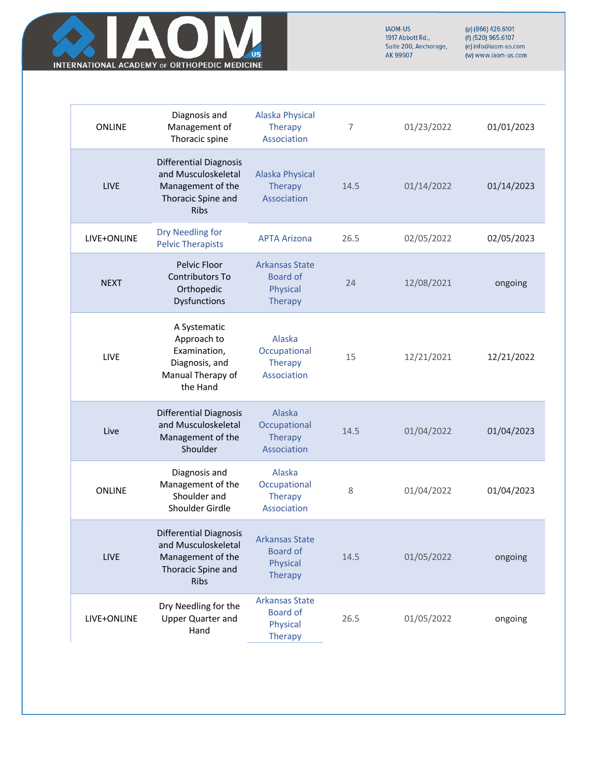

| ONLINE      | Diagnosis and<br>Management of<br>Thoracic spine                                                               | <b>Alaska Physical</b><br><b>Therapy</b><br>Association                | 7    | 01/23/2022 | 01/01/2023 |
|-------------|----------------------------------------------------------------------------------------------------------------|------------------------------------------------------------------------|------|------------|------------|
| <b>LIVE</b> | <b>Differential Diagnosis</b><br>and Musculoskeletal<br>Management of the<br>Thoracic Spine and<br><b>Ribs</b> | <b>Alaska Physical</b><br><b>Therapy</b><br>Association                | 14.5 | 01/14/2022 | 01/14/2023 |
| LIVE+ONLINE | Dry Needling for<br><b>Pelvic Therapists</b>                                                                   | <b>APTA Arizona</b>                                                    | 26.5 | 02/05/2022 | 02/05/2023 |
| <b>NEXT</b> | Pelvic Floor<br>Contributors To<br>Orthopedic<br>Dysfunctions                                                  | <b>Arkansas State</b><br><b>Board of</b><br>Physical<br><b>Therapy</b> | 24   | 12/08/2021 | ongoing    |
| LIVE        | A Systematic<br>Approach to<br>Examination,<br>Diagnosis, and<br>Manual Therapy of<br>the Hand                 | Alaska<br>Occupational<br><b>Therapy</b><br>Association                | 15   | 12/21/2021 | 12/21/2022 |
| Live        | <b>Differential Diagnosis</b><br>and Musculoskeletal<br>Management of the<br>Shoulder                          | Alaska<br>Occupational<br><b>Therapy</b><br>Association                | 14.5 | 01/04/2022 | 01/04/2023 |
| ONLINE      | Diagnosis and<br>Management of the<br>Shoulder and<br>Shoulder Girdle                                          | Alaska<br>Occupational<br><b>Therapy</b><br>Association                | 8    | 01/04/2022 | 01/04/2023 |
| LIVE        | <b>Differential Diagnosis</b><br>and Musculoskeletal<br>Management of the<br>Thoracic Spine and<br><b>Ribs</b> | <b>Arkansas State</b><br><b>Board of</b><br>Physical<br><b>Therapy</b> | 14.5 | 01/05/2022 | ongoing    |
| LIVE+ONLINE | Dry Needling for the<br>Upper Quarter and<br>Hand                                                              | <b>Arkansas State</b><br><b>Board of</b><br>Physical<br><b>Therapy</b> | 26.5 | 01/05/2022 | ongoing    |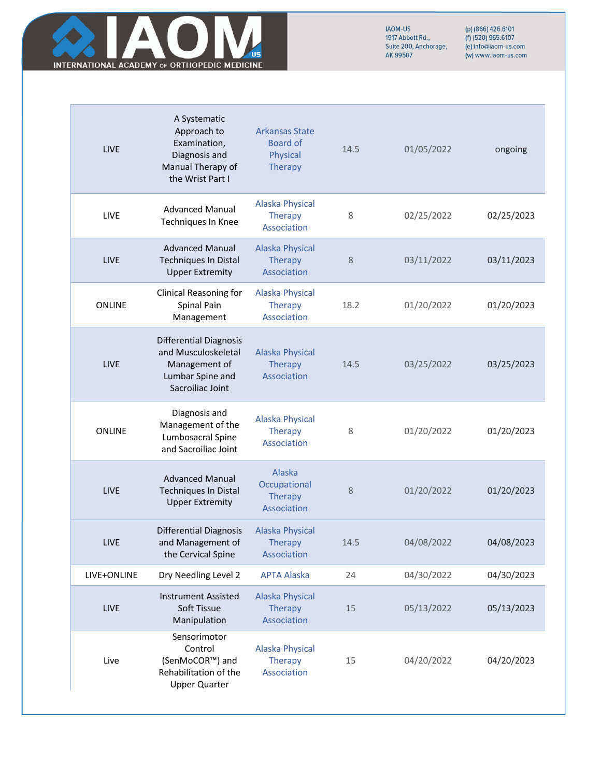

| <b>LIVE</b>   | A Systematic<br>Approach to<br>Examination,<br>Diagnosis and<br>Manual Therapy of<br>the Wrist Part I         | <b>Arkansas State</b><br><b>Board of</b><br>Physical<br>Therapy | 14.5   | 01/05/2022 | ongoing    |
|---------------|---------------------------------------------------------------------------------------------------------------|-----------------------------------------------------------------|--------|------------|------------|
| <b>LIVE</b>   | <b>Advanced Manual</b><br>Techniques In Knee                                                                  | <b>Alaska Physical</b><br><b>Therapy</b><br>Association         | 8      | 02/25/2022 | 02/25/2023 |
| <b>LIVE</b>   | <b>Advanced Manual</b><br>Techniques In Distal<br><b>Upper Extremity</b>                                      | <b>Alaska Physical</b><br>Therapy<br>Association                | 8      | 03/11/2022 | 03/11/2023 |
| <b>ONLINE</b> | Clinical Reasoning for<br>Spinal Pain<br>Management                                                           | <b>Alaska Physical</b><br>Therapy<br>Association                | 18.2   | 01/20/2022 | 01/20/2023 |
| LIVE          | <b>Differential Diagnosis</b><br>and Musculoskeletal<br>Management of<br>Lumbar Spine and<br>Sacroiliac Joint | <b>Alaska Physical</b><br>Therapy<br>Association                | 14.5   | 03/25/2022 | 03/25/2023 |
| <b>ONLINE</b> | Diagnosis and<br>Management of the<br>Lumbosacral Spine<br>and Sacroiliac Joint                               | <b>Alaska Physical</b><br><b>Therapy</b><br>Association         | 8      | 01/20/2022 | 01/20/2023 |
| LIVE          | <b>Advanced Manual</b><br>Techniques In Distal<br><b>Upper Extremity</b>                                      | Alaska<br>Occupational<br><b>Therapy</b><br>Association         | 8      | 01/20/2022 | 01/20/2023 |
| LIVE          | <b>Differential Diagnosis</b><br>and Management of<br>the Cervical Spine                                      | Alaska Physical<br>Therapy<br>Association                       | 14.5   | 04/08/2022 | 04/08/2023 |
| LIVE+ONLINE   | Dry Needling Level 2                                                                                          | <b>APTA Alaska</b>                                              | 24     | 04/30/2022 | 04/30/2023 |
| LIVE          | <b>Instrument Assisted</b><br>Soft Tissue<br>Manipulation                                                     | <b>Alaska Physical</b><br>Therapy<br>Association                | $15\,$ | 05/13/2022 | 05/13/2023 |
| Live          | Sensorimotor<br>Control<br>(SenMoCOR™) and<br>Rehabilitation of the<br><b>Upper Quarter</b>                   | <b>Alaska Physical</b><br>Therapy<br>Association                | 15     | 04/20/2022 | 04/20/2023 |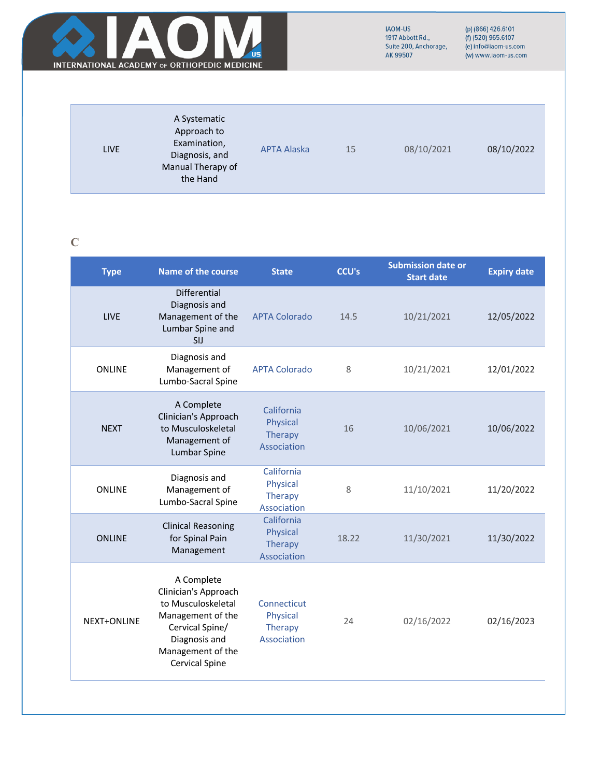

# **C**

| <b>Type</b>        | <b>Name of the course</b>                                                                                                                                       | <b>State</b>                                             | <b>CCU's</b> | <b>Submission date or</b><br><b>Start date</b> | <b>Expiry date</b> |
|--------------------|-----------------------------------------------------------------------------------------------------------------------------------------------------------------|----------------------------------------------------------|--------------|------------------------------------------------|--------------------|
| <b>LIVE</b>        | <b>Differential</b><br>Diagnosis and<br>Management of the<br>Lumbar Spine and<br>SIJ                                                                            | <b>APTA Colorado</b>                                     | 14.5         | 10/21/2021                                     | 12/05/2022         |
| <b>ONLINE</b>      | Diagnosis and<br>Management of<br>Lumbo-Sacral Spine                                                                                                            | <b>APTA Colorado</b>                                     | 8            | 10/21/2021                                     | 12/01/2022         |
| <b>NEXT</b>        | A Complete<br>Clinician's Approach<br>to Musculoskeletal<br>Management of<br>Lumbar Spine                                                                       | California<br>Physical<br><b>Therapy</b><br>Association  | 16           | 10/06/2021                                     | 10/06/2022         |
| <b>ONLINE</b>      | Diagnosis and<br>Management of<br>Lumbo-Sacral Spine                                                                                                            | California<br>Physical<br><b>Therapy</b><br>Association  | 8            | 11/10/2021                                     | 11/20/2022         |
| <b>ONLINE</b>      | <b>Clinical Reasoning</b><br>for Spinal Pain<br>Management                                                                                                      | California<br>Physical<br><b>Therapy</b><br>Association  | 18.22        | 11/30/2021                                     | 11/30/2022         |
| <b>NEXT+ONLINE</b> | A Complete<br>Clinician's Approach<br>to Musculoskeletal<br>Management of the<br>Cervical Spine/<br>Diagnosis and<br>Management of the<br><b>Cervical Spine</b> | Connecticut<br>Physical<br><b>Therapy</b><br>Association | 24           | 02/16/2022                                     | 02/16/2023         |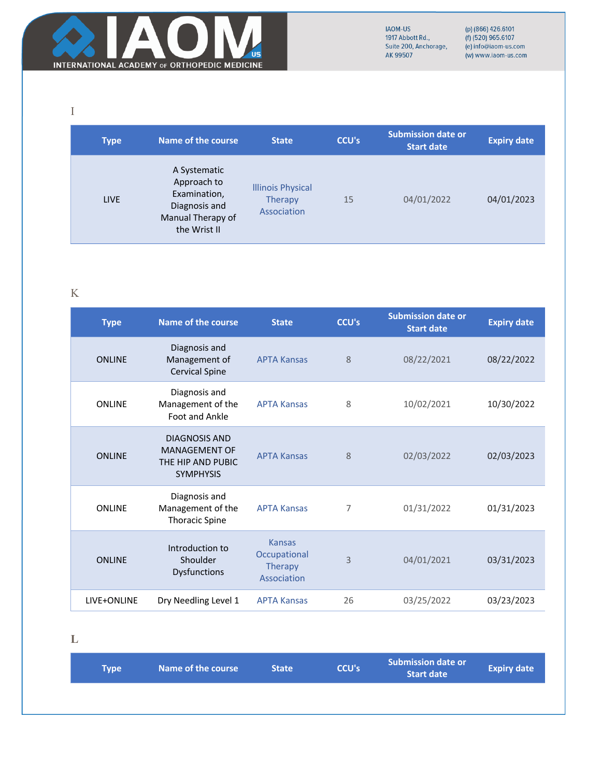

(p) (866) 426.6101<br>(f) (520) 965.6107<br>(e) info@iaom-us.com (w) www.iaom-us.com

I

| <b>Type</b> | Name of the course                                                                                | <b>State</b>                                              | <b>CCU's</b> | <b>Submission date or</b><br><b>Start date</b> | <b>Expiry date</b> |
|-------------|---------------------------------------------------------------------------------------------------|-----------------------------------------------------------|--------------|------------------------------------------------|--------------------|
| <b>LIVE</b> | A Systematic<br>Approach to<br>Examination,<br>Diagnosis and<br>Manual Therapy of<br>the Wrist II | <b>Illinois Physical</b><br><b>Therapy</b><br>Association | 15           | 04/01/2022                                     | 04/01/2023         |

K

| <b>Type</b>   | <b>Name of the course</b>                                                      | <b>State</b>                                                   | <b>CCU's</b> | <b>Submission date or</b><br><b>Start date</b> | <b>Expiry date</b> |
|---------------|--------------------------------------------------------------------------------|----------------------------------------------------------------|--------------|------------------------------------------------|--------------------|
| <b>ONLINE</b> | Diagnosis and<br>Management of<br><b>Cervical Spine</b>                        | <b>APTA Kansas</b>                                             | 8            | 08/22/2021                                     | 08/22/2022         |
| <b>ONLINE</b> | Diagnosis and<br>Management of the<br>Foot and Ankle                           | <b>APTA Kansas</b>                                             | 8            | 10/02/2021                                     | 10/30/2022         |
| <b>ONLINE</b> | DIAGNOSIS AND<br><b>MANAGEMENT OF</b><br>THE HIP AND PUBIC<br><b>SYMPHYSIS</b> | <b>APTA Kansas</b>                                             | 8            | 02/03/2022                                     | 02/03/2023         |
| <b>ONLINE</b> | Diagnosis and<br>Management of the<br><b>Thoracic Spine</b>                    | <b>APTA Kansas</b>                                             | 7            | 01/31/2022                                     | 01/31/2023         |
| <b>ONLINE</b> | Introduction to<br>Shoulder<br><b>Dysfunctions</b>                             | <b>Kansas</b><br>Occupational<br><b>Therapy</b><br>Association | 3            | 04/01/2021                                     | 03/31/2023         |
| LIVE+ONLINE   | Dry Needling Level 1                                                           | <b>APTA Kansas</b>                                             | 26           | 03/25/2022                                     | 03/23/2023         |

**L**

| <b>Type</b> | Name of the course | <b>State</b> | <b>CCU's</b> | <b>Submission date or</b><br><b>Start date</b> | <b>Expiry date</b> |
|-------------|--------------------|--------------|--------------|------------------------------------------------|--------------------|
|             |                    |              |              |                                                |                    |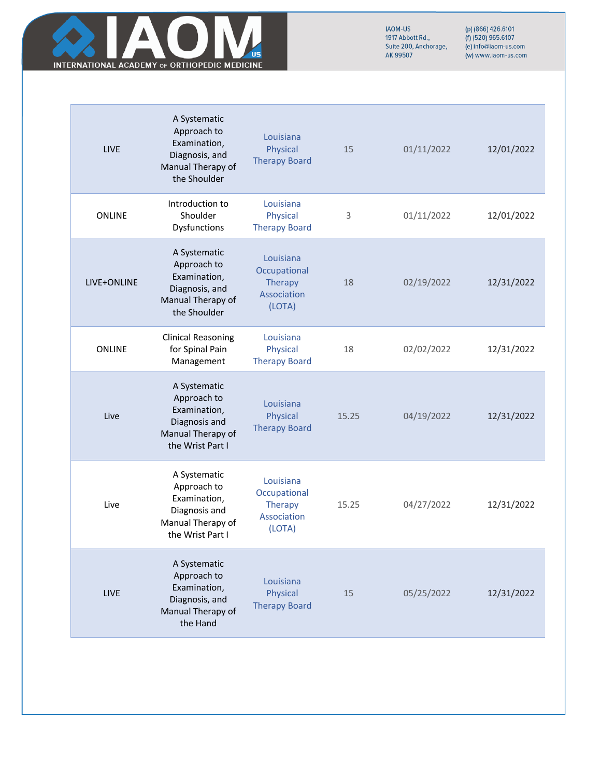

| <b>LIVE</b>   | A Systematic<br>Approach to<br>Examination,<br>Diagnosis, and<br>Manual Therapy of<br>the Shoulder    | Louisiana<br><b>Physical</b><br><b>Therapy Board</b>          | 15    | 01/11/2022 | 12/01/2022 |
|---------------|-------------------------------------------------------------------------------------------------------|---------------------------------------------------------------|-------|------------|------------|
| <b>ONLINE</b> | Introduction to<br>Shoulder<br>Dysfunctions                                                           | Louisiana<br>Physical<br><b>Therapy Board</b>                 | 3     | 01/11/2022 | 12/01/2022 |
| LIVE+ONLINE   | A Systematic<br>Approach to<br>Examination,<br>Diagnosis, and<br>Manual Therapy of<br>the Shoulder    | Louisiana<br>Occupational<br>Therapy<br>Association<br>(LOTA) | 18    | 02/19/2022 | 12/31/2022 |
| <b>ONLINE</b> | <b>Clinical Reasoning</b><br>for Spinal Pain<br>Management                                            | Louisiana<br>Physical<br><b>Therapy Board</b>                 | 18    | 02/02/2022 | 12/31/2022 |
| Live          | A Systematic<br>Approach to<br>Examination,<br>Diagnosis and<br>Manual Therapy of<br>the Wrist Part I | Louisiana<br>Physical<br><b>Therapy Board</b>                 | 15.25 | 04/19/2022 | 12/31/2022 |
| Live          | A Systematic<br>Approach to<br>Examination,<br>Diagnosis and<br>Manual Therapy of<br>the Wrist Part I | Louisiana<br>Occupational<br>Therapy<br>Association<br>(LOTA) | 15.25 | 04/27/2022 | 12/31/2022 |
| LIVE          | A Systematic<br>Approach to<br>Examination,<br>Diagnosis, and<br>Manual Therapy of<br>the Hand        | Louisiana<br><b>Physical</b><br><b>Therapy Board</b>          | 15    | 05/25/2022 | 12/31/2022 |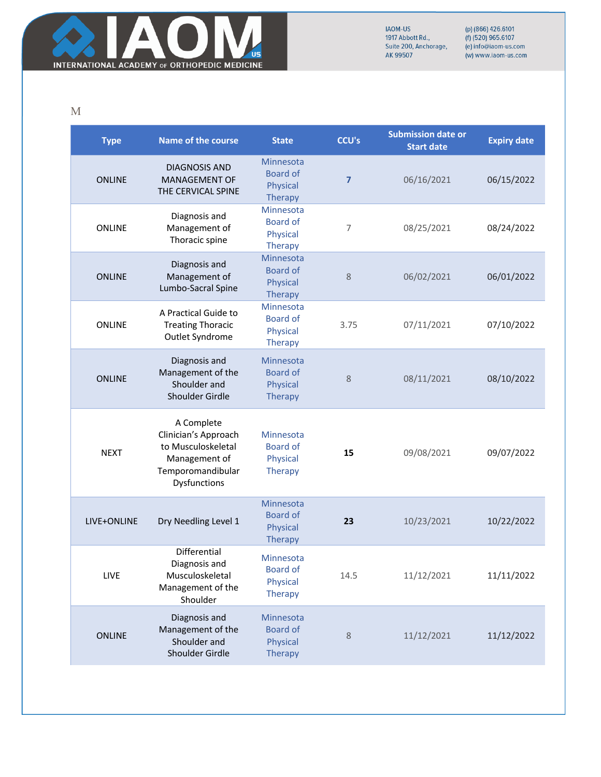

(p) (866) 426.6101<br>(f) (520) 965.6107<br>(e) info@iaom-us.com (w) www.iaom-us.com

M

| <b>Type</b>   | <b>Name of the course</b>                                                                                      | <b>State</b>                                               | <b>CCU's</b>   | <b>Submission date or</b><br><b>Start date</b> | <b>Expiry date</b> |
|---------------|----------------------------------------------------------------------------------------------------------------|------------------------------------------------------------|----------------|------------------------------------------------|--------------------|
| <b>ONLINE</b> | <b>DIAGNOSIS AND</b><br><b>MANAGEMENT OF</b><br>THE CERVICAL SPINE                                             | Minnesota<br><b>Board of</b><br>Physical<br><b>Therapy</b> | $\overline{7}$ | 06/16/2021                                     | 06/15/2022         |
| <b>ONLINE</b> | Diagnosis and<br>Management of<br>Thoracic spine                                                               | Minnesota<br><b>Board of</b><br>Physical<br><b>Therapy</b> | 7              | 08/25/2021                                     | 08/24/2022         |
| <b>ONLINE</b> | Diagnosis and<br>Management of<br>Lumbo-Sacral Spine                                                           | Minnesota<br><b>Board of</b><br>Physical<br><b>Therapy</b> | 8              | 06/02/2021                                     | 06/01/2022         |
| <b>ONLINE</b> | A Practical Guide to<br><b>Treating Thoracic</b><br>Outlet Syndrome                                            | Minnesota<br><b>Board of</b><br>Physical<br><b>Therapy</b> | 3.75           | 07/11/2021                                     | 07/10/2022         |
| <b>ONLINE</b> | Diagnosis and<br>Management of the<br>Shoulder and<br><b>Shoulder Girdle</b>                                   | Minnesota<br><b>Board of</b><br>Physical<br><b>Therapy</b> | 8              | 08/11/2021                                     | 08/10/2022         |
| <b>NEXT</b>   | A Complete<br>Clinician's Approach<br>to Musculoskeletal<br>Management of<br>Temporomandibular<br>Dysfunctions | Minnesota<br><b>Board of</b><br>Physical<br><b>Therapy</b> | 15             | 09/08/2021                                     | 09/07/2022         |
| LIVE+ONLINE   | Dry Needling Level 1                                                                                           | Minnesota<br><b>Board of</b><br>Physical<br><b>Therapy</b> | 23             | 10/23/2021                                     | 10/22/2022         |
| LIVE          | Differential<br>Diagnosis and<br>Musculoskeletal<br>Management of the<br>Shoulder                              | Minnesota<br>Board of<br>Physical<br><b>Therapy</b>        | 14.5           | 11/12/2021                                     | 11/11/2022         |
| <b>ONLINE</b> | Diagnosis and<br>Management of the<br>Shoulder and<br>Shoulder Girdle                                          | Minnesota<br><b>Board of</b><br>Physical<br><b>Therapy</b> | 8              | 11/12/2021                                     | 11/12/2022         |
|               |                                                                                                                |                                                            |                |                                                |                    |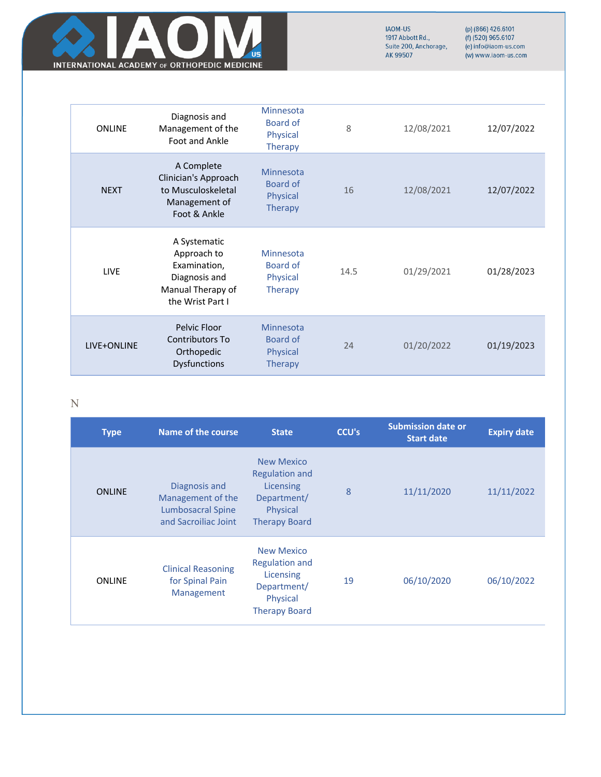

(p) (866) 426.6101<br>(f) (520) 965.6107<br>(e) info@iaom-us.com (w) www.iaom-us.com

| <b>ONLINE</b> | Diagnosis and<br>Management of the<br>Foot and Ankle                                                  | Minnesota<br>Board of<br>Physical<br><b>Therapy</b> | 8    | 12/08/2021 | 12/07/2022 |
|---------------|-------------------------------------------------------------------------------------------------------|-----------------------------------------------------|------|------------|------------|
| <b>NEXT</b>   | A Complete<br>Clinician's Approach<br>to Musculoskeletal<br>Management of<br>Foot & Ankle             | Minnesota<br>Board of<br>Physical<br><b>Therapy</b> | 16   | 12/08/2021 | 12/07/2022 |
| <b>LIVE</b>   | A Systematic<br>Approach to<br>Examination,<br>Diagnosis and<br>Manual Therapy of<br>the Wrist Part I | Minnesota<br>Board of<br>Physical<br><b>Therapy</b> | 14.5 | 01/29/2021 | 01/28/2023 |
| LIVE+ONLINE   | Pelvic Floor<br>Contributors To<br>Orthopedic<br><b>Dysfunctions</b>                                  | Minnesota<br>Board of<br>Physical<br><b>Therapy</b> | 74   | 01/20/2022 | 01/19/2023 |

## N

| <b>Type</b>   | <b>Name of the course</b>                                                              | <b>State</b>                                                                                               | <b>CCU's</b> | <b>Submission date or</b><br><b>Start date</b> | <b>Expiry date</b> |
|---------------|----------------------------------------------------------------------------------------|------------------------------------------------------------------------------------------------------------|--------------|------------------------------------------------|--------------------|
| <b>ONLINE</b> | Diagnosis and<br>Management of the<br><b>Lumbosacral Spine</b><br>and Sacroiliac Joint | <b>New Mexico</b><br><b>Regulation and</b><br>Licensing<br>Department/<br>Physical<br><b>Therapy Board</b> | 8            | 11/11/2020                                     | 11/11/2022         |
| <b>ONLINE</b> | <b>Clinical Reasoning</b><br>for Spinal Pain<br>Management                             | <b>New Mexico</b><br><b>Regulation and</b><br>Licensing<br>Department/<br>Physical<br><b>Therapy Board</b> | 19           | 06/10/2020                                     | 06/10/2022         |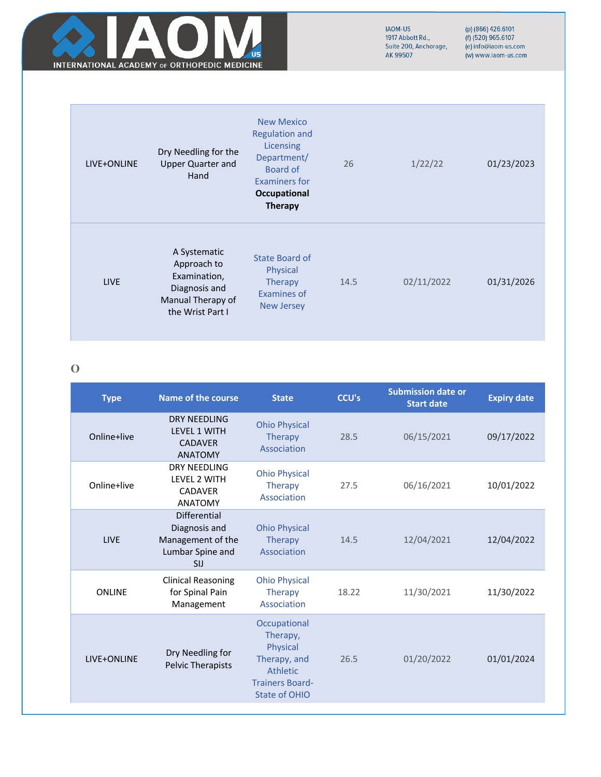

(p) (866) 426.6101<br>(f) (520) 965.6107<br>(e) info@iaom-us.com (w) www.iaom-us.com

| LIVE+ONLINE | Dry Needling for the<br><b>Upper Quarter and</b><br>Hand                                              | <b>New Mexico</b><br><b>Regulation and</b><br>Licensing<br>Department/<br>Board of | 26   | 1/22/22    | 01/23/2023 |
|-------------|-------------------------------------------------------------------------------------------------------|------------------------------------------------------------------------------------|------|------------|------------|
|             |                                                                                                       | Examiners for<br>Occupational<br><b>Therapy</b>                                    |      |            |            |
| <b>LIVE</b> | A Systematic<br>Approach to<br>Examination,<br>Diagnosis and<br>Manual Therapy of<br>the Wrist Part I | State Board of<br>Physical<br><b>Therapy</b><br>Examines of<br><b>New Jersey</b>   | 14.5 | 02/11/2022 | 01/31/2026 |

## **O**

| <b>Type</b>   | <b>Name of the course</b>                                                                   | <b>State</b>                                                                                                       | <b>CCU's</b> | <b>Submission date or</b><br><b>Start date</b> | <b>Expiry date</b> |
|---------------|---------------------------------------------------------------------------------------------|--------------------------------------------------------------------------------------------------------------------|--------------|------------------------------------------------|--------------------|
| Online+live   | DRY NFFDLING<br><b>I FVFI 1 WITH</b><br><b>CADAVER</b><br><b>ANATOMY</b>                    | <b>Ohio Physical</b><br><b>Therapy</b><br>Association                                                              | 28.5         | 06/15/2021                                     | 09/17/2022         |
| Online+live   | <b>DRY NEEDLING</b><br><b>LEVEL 2 WITH</b><br><b>CADAVER</b><br><b>ANATOMY</b>              | <b>Ohio Physical</b><br><b>Therapy</b><br>Association                                                              | 27.5         | 06/16/2021                                     | 10/01/2022         |
| <b>LIVE</b>   | <b>Differential</b><br>Diagnosis and<br>Management of the<br>Lumbar Spine and<br><b>SIJ</b> | <b>Ohio Physical</b><br>Therapy<br>Association                                                                     | 14.5         | 12/04/2021                                     | 12/04/2022         |
| <b>ONLINE</b> | <b>Clinical Reasoning</b><br>for Spinal Pain<br>Management                                  | <b>Ohio Physical</b><br><b>Therapy</b><br>Association                                                              | 18.22        | 11/30/2021                                     | 11/30/2022         |
| LIVE+ONLINE   | Dry Needling for<br>Pelvic Therapists                                                       | Occupational<br>Therapy,<br>Physical<br>Therapy, and<br><b>Athletic</b><br><b>Trainers Board-</b><br>State of OHIO | 26.5         | 01/20/2022                                     | 01/01/2024         |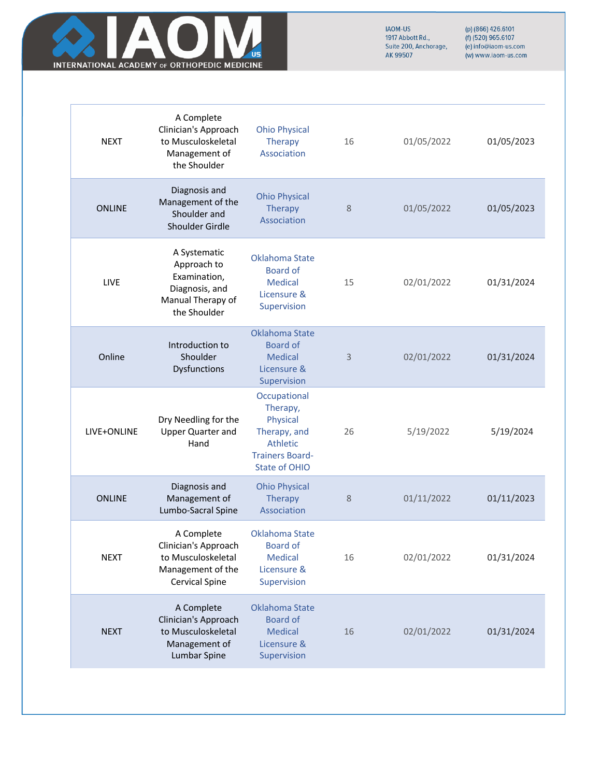

| <b>NEXT</b>   | A Complete<br>Clinician's Approach<br>to Musculoskeletal<br>Management of<br>the Shoulder              | <b>Ohio Physical</b><br>Therapy<br>Association                                                                     | 16 | 01/05/2022 | 01/05/2023 |
|---------------|--------------------------------------------------------------------------------------------------------|--------------------------------------------------------------------------------------------------------------------|----|------------|------------|
| <b>ONLINE</b> | Diagnosis and<br>Management of the<br>Shoulder and<br>Shoulder Girdle                                  | <b>Ohio Physical</b><br><b>Therapy</b><br>Association                                                              | 8  | 01/05/2022 | 01/05/2023 |
| LIVE          | A Systematic<br>Approach to<br>Examination,<br>Diagnosis, and<br>Manual Therapy of<br>the Shoulder     | Oklahoma State<br>Board of<br><b>Medical</b><br>Licensure &<br>Supervision                                         | 15 | 02/01/2022 | 01/31/2024 |
| Online        | Introduction to<br>Shoulder<br>Dysfunctions                                                            | <b>Oklahoma State</b><br><b>Board of</b><br><b>Medical</b><br>Licensure &<br>Supervision                           | 3  | 02/01/2022 | 01/31/2024 |
| LIVE+ONLINE   | Dry Needling for the<br><b>Upper Quarter and</b><br>Hand                                               | Occupational<br>Therapy,<br>Physical<br>Therapy, and<br>Athletic<br><b>Trainers Board-</b><br><b>State of OHIO</b> | 26 | 5/19/2022  | 5/19/2024  |
| <b>ONLINE</b> | Diagnosis and<br>Management of<br>Lumbo-Sacral Spine                                                   | <b>Ohio Physical</b><br><b>Therapy</b><br>Association                                                              | 8  | 01/11/2022 | 01/11/2023 |
| <b>NEXT</b>   | A Complete<br>Clinician's Approach<br>to Musculoskeletal<br>Management of the<br><b>Cervical Spine</b> | Oklahoma State<br><b>Board of</b><br><b>Medical</b><br>Licensure &<br>Supervision                                  | 16 | 02/01/2022 | 01/31/2024 |
| <b>NEXT</b>   | A Complete<br>Clinician's Approach<br>to Musculoskeletal<br>Management of<br>Lumbar Spine              | <b>Oklahoma State</b><br><b>Board of</b><br><b>Medical</b><br>Licensure &<br>Supervision                           | 16 | 02/01/2022 | 01/31/2024 |
|               |                                                                                                        |                                                                                                                    |    |            |            |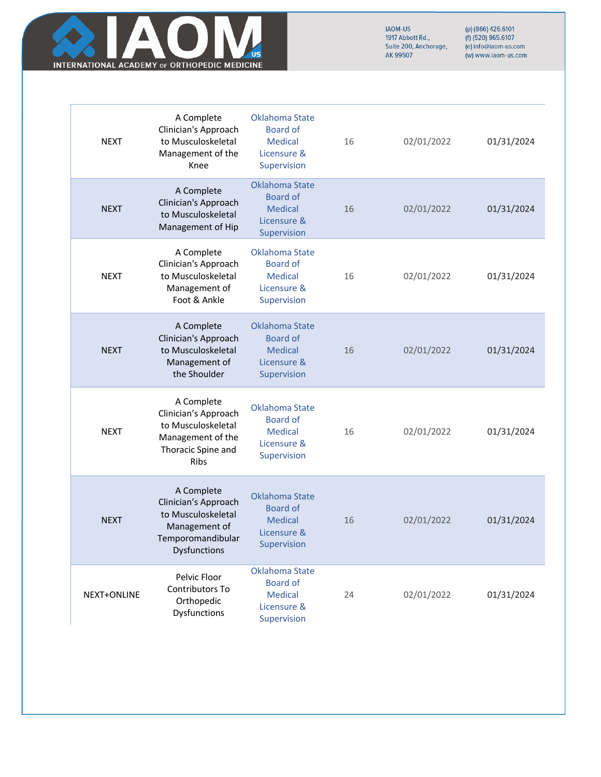

| <b>NEXT</b> | A Complete<br>Clinician's Approach<br>to Musculoskeletal<br>Management of the<br>Knee                          | Oklahoma State<br><b>Board of</b><br><b>Medical</b><br>Licensure &<br>Supervision        | 16 | 02/01/2022 | 01/31/2024 |
|-------------|----------------------------------------------------------------------------------------------------------------|------------------------------------------------------------------------------------------|----|------------|------------|
| <b>NEXT</b> | A Complete<br>Clinician's Approach<br>to Musculoskeletal<br>Management of Hip                                  | <b>Oklahoma State</b><br><b>Board of</b><br><b>Medical</b><br>Licensure &<br>Supervision | 16 | 02/01/2022 | 01/31/2024 |
| <b>NEXT</b> | A Complete<br>Clinician's Approach<br>to Musculoskeletal<br>Management of<br>Foot & Ankle                      | <b>Oklahoma State</b><br><b>Board of</b><br><b>Medical</b><br>Licensure &<br>Supervision | 16 | 02/01/2022 | 01/31/2024 |
| <b>NEXT</b> | A Complete<br>Clinician's Approach<br>to Musculoskeletal<br>Management of<br>the Shoulder                      | Oklahoma State<br><b>Board of</b><br><b>Medical</b><br>Licensure &<br>Supervision        | 16 | 02/01/2022 | 01/31/2024 |
| <b>NEXT</b> | A Complete<br>Clinician's Approach<br>to Musculoskeletal<br>Management of the<br>Thoracic Spine and<br>Ribs    | <b>Oklahoma State</b><br><b>Board of</b><br><b>Medical</b><br>Licensure &<br>Supervision | 16 | 02/01/2022 | 01/31/2024 |
| <b>NEXT</b> | A Complete<br>Clinician's Approach<br>to Musculoskeletal<br>Management of<br>Temporomandibular<br>Dysfunctions | <b>Oklahoma State</b><br><b>Board of</b><br><b>Medical</b><br>Licensure &<br>Supervision | 16 | 02/01/2022 | 01/31/2024 |
| NEXT+ONLINE | Pelvic Floor<br>Contributors To<br>Orthopedic<br>Dysfunctions                                                  | <b>Oklahoma State</b><br><b>Board of</b><br><b>Medical</b><br>Licensure &<br>Supervision | 24 | 02/01/2022 | 01/31/2024 |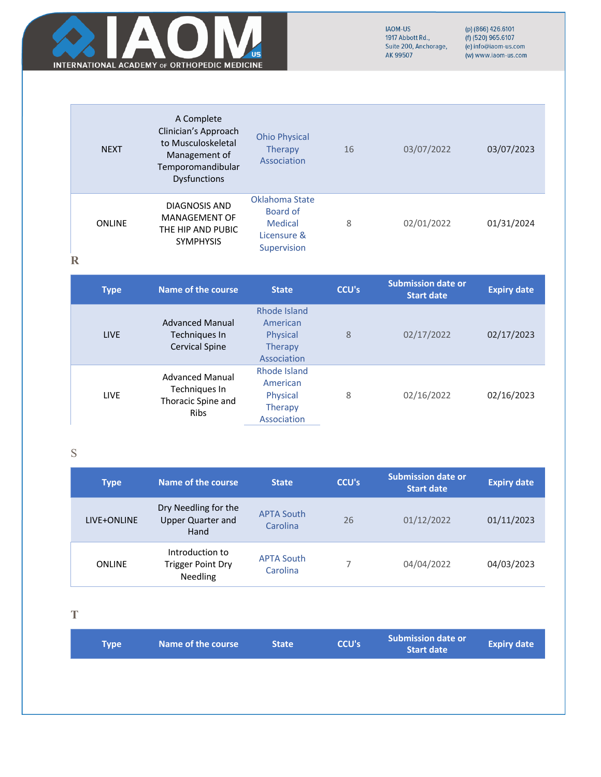

(p) (866) 426.6101<br>(f) (520) 965.6107<br>(e) info@iaom-us.com (w) www.iaom-us.com

| <b>NEXT</b>   | A Complete<br>Clinician's Approach<br>to Musculoskeletal<br>Management of<br>Temporomandibular<br><b>Dysfunctions</b> | <b>Ohio Physical</b><br><b>Therapy</b><br>Association               | 16 | 03/07/2022 | 03/07/2023 |
|---------------|-----------------------------------------------------------------------------------------------------------------------|---------------------------------------------------------------------|----|------------|------------|
| <b>ONLINE</b> | <b>DIAGNOSIS AND</b><br><b>MANAGEMENT OF</b><br>THE HIP AND PUBIC<br><b>SYMPHYSIS</b>                                 | Oklahoma State<br>Board of<br>Medical<br>Licensure &<br>Supervision | 8  | 02/01/2022 | 01/31/2024 |

**R**

| <b>Type</b> | Name of the course                                                           | <b>State</b>                                                          | <b>CCU's</b> | <b>Submission date or</b><br><b>Start date</b> | <b>Expiry date</b> |
|-------------|------------------------------------------------------------------------------|-----------------------------------------------------------------------|--------------|------------------------------------------------|--------------------|
| <b>LIVE</b> | <b>Advanced Manual</b><br>Techniques In<br><b>Cervical Spine</b>             | Rhode Island<br>American<br>Physical<br>Therapy<br>Association        | 8            | 02/17/2022                                     | 02/17/2023         |
| <b>LIVE</b> | <b>Advanced Manual</b><br>Techniques In<br>Thoracic Spine and<br><b>Ribs</b> | Rhode Island<br>American<br>Physical<br><b>Therapy</b><br>Association | 8            | 02/16/2022                                     | 02/16/2023         |

S

| <b>Type</b>   | Name of the course                                       | <b>State</b>                  | <b>CCU's</b> | <b>Submission date or</b><br><b>Start date</b> | <b>Expiry date</b> |
|---------------|----------------------------------------------------------|-------------------------------|--------------|------------------------------------------------|--------------------|
| LIVE+ONLINE   | Dry Needling for the<br><b>Upper Quarter and</b><br>Hand | <b>APTA South</b><br>Carolina | 26           | 01/12/2022                                     | 01/11/2023         |
| <b>ONLINE</b> | Introduction to<br><b>Trigger Point Dry</b><br>Needling  | <b>APTA South</b><br>Carolina |              | 04/04/2022                                     | 04/03/2023         |

**T**

| <b>Type</b> | Name of the course | <b>State</b> | <b>CCU's</b> | <b>Submission date or</b><br><b>Start date</b> | <b>Expiry date</b> |
|-------------|--------------------|--------------|--------------|------------------------------------------------|--------------------|
|             |                    |              |              |                                                |                    |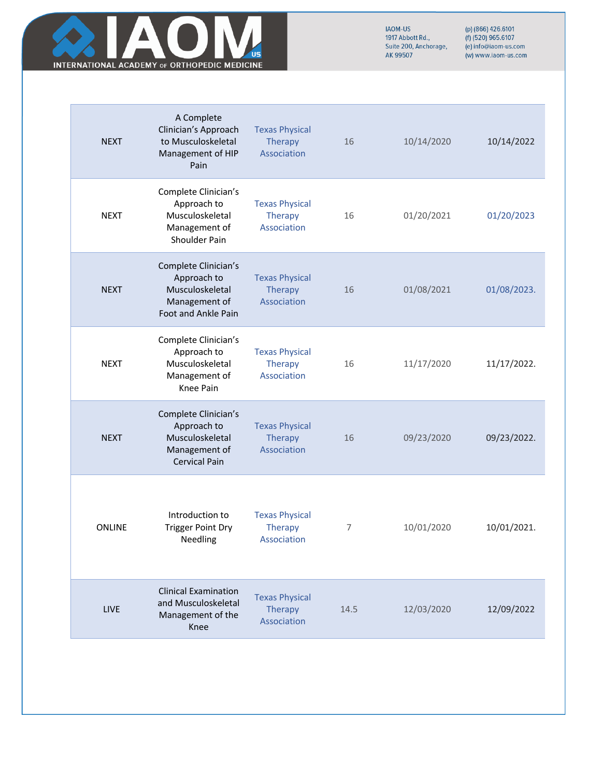

| <b>NEXT</b>   | A Complete<br>Clinician's Approach<br>to Musculoskeletal<br>Management of HIP<br>Pain          | <b>Texas Physical</b><br>Therapy<br>Association        | 16   | 10/14/2020 | 10/14/2022  |
|---------------|------------------------------------------------------------------------------------------------|--------------------------------------------------------|------|------------|-------------|
| <b>NEXT</b>   | Complete Clinician's<br>Approach to<br>Musculoskeletal<br>Management of<br>Shoulder Pain       | <b>Texas Physical</b><br><b>Therapy</b><br>Association | 16   | 01/20/2021 | 01/20/2023  |
| <b>NEXT</b>   | Complete Clinician's<br>Approach to<br>Musculoskeletal<br>Management of<br>Foot and Ankle Pain | <b>Texas Physical</b><br>Therapy<br>Association        | 16   | 01/08/2021 | 01/08/2023. |
| <b>NEXT</b>   | Complete Clinician's<br>Approach to<br>Musculoskeletal<br>Management of<br>Knee Pain           | <b>Texas Physical</b><br>Therapy<br>Association        | 16   | 11/17/2020 | 11/17/2022. |
| <b>NEXT</b>   | Complete Clinician's<br>Approach to<br>Musculoskeletal<br>Management of<br>Cervical Pain       | <b>Texas Physical</b><br>Therapy<br>Association        | 16   | 09/23/2020 | 09/23/2022. |
| <b>ONLINE</b> | Introduction to<br><b>Trigger Point Dry</b><br>Needling                                        | <b>Texas Physical</b><br>Therapy<br>Association        | 7    | 10/01/2020 | 10/01/2021. |
| <b>LIVE</b>   | <b>Clinical Examination</b><br>and Musculoskeletal<br>Management of the<br>Knee                | <b>Texas Physical</b><br>Therapy<br>Association        | 14.5 | 12/03/2020 | 12/09/2022  |
|               |                                                                                                |                                                        |      |            |             |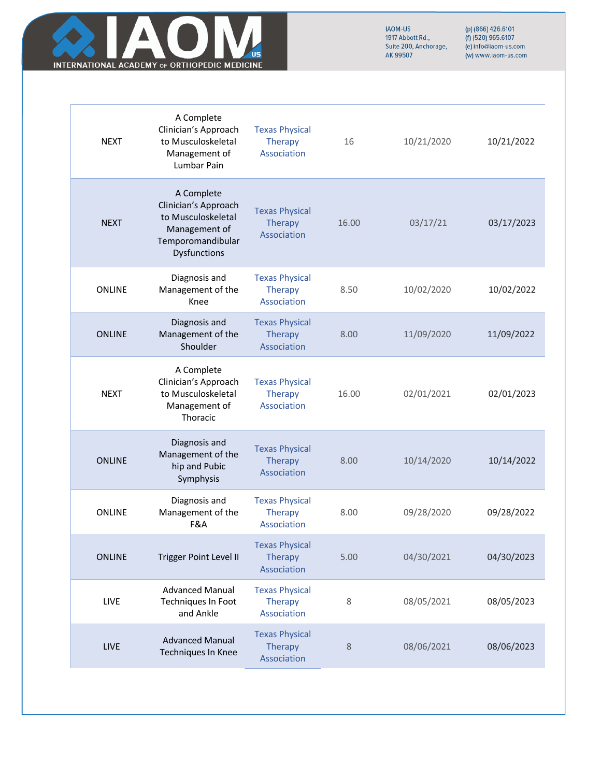

| <b>NEXT</b>   | A Complete<br>Clinician's Approach<br>to Musculoskeletal<br>Management of<br>Lumbar Pain                       | <b>Texas Physical</b><br>Therapy<br>Association        | 16    | 10/21/2020 | 10/21/2022 |
|---------------|----------------------------------------------------------------------------------------------------------------|--------------------------------------------------------|-------|------------|------------|
| <b>NEXT</b>   | A Complete<br>Clinician's Approach<br>to Musculoskeletal<br>Management of<br>Temporomandibular<br>Dysfunctions | <b>Texas Physical</b><br>Therapy<br>Association        | 16.00 | 03/17/21   | 03/17/2023 |
| <b>ONLINE</b> | Diagnosis and<br>Management of the<br>Knee                                                                     | <b>Texas Physical</b><br><b>Therapy</b><br>Association | 8.50  | 10/02/2020 | 10/02/2022 |
| <b>ONLINE</b> | Diagnosis and<br>Management of the<br>Shoulder                                                                 | <b>Texas Physical</b><br>Therapy<br>Association        | 8.00  | 11/09/2020 | 11/09/2022 |
| <b>NEXT</b>   | A Complete<br>Clinician's Approach<br>to Musculoskeletal<br>Management of<br>Thoracic                          | <b>Texas Physical</b><br>Therapy<br>Association        | 16.00 | 02/01/2021 | 02/01/2023 |
| <b>ONLINE</b> | Diagnosis and<br>Management of the<br>hip and Pubic<br>Symphysis                                               | <b>Texas Physical</b><br>Therapy<br>Association        | 8.00  | 10/14/2020 | 10/14/2022 |
| <b>ONLINE</b> | Diagnosis and<br>Management of the<br>F&A                                                                      | <b>Texas Physical</b><br><b>Therapy</b><br>Association | 8.00  | 09/28/2020 | 09/28/2022 |
| <b>ONLINE</b> | <b>Trigger Point Level II</b>                                                                                  | <b>Texas Physical</b><br><b>Therapy</b><br>Association | 5.00  | 04/30/2021 | 04/30/2023 |
| LIVE          | <b>Advanced Manual</b><br>Techniques In Foot<br>and Ankle                                                      | <b>Texas Physical</b><br><b>Therapy</b><br>Association | 8     | 08/05/2021 | 08/05/2023 |
| LIVE          | <b>Advanced Manual</b><br>Techniques In Knee                                                                   | <b>Texas Physical</b><br><b>Therapy</b><br>Association | 8     | 08/06/2021 | 08/06/2023 |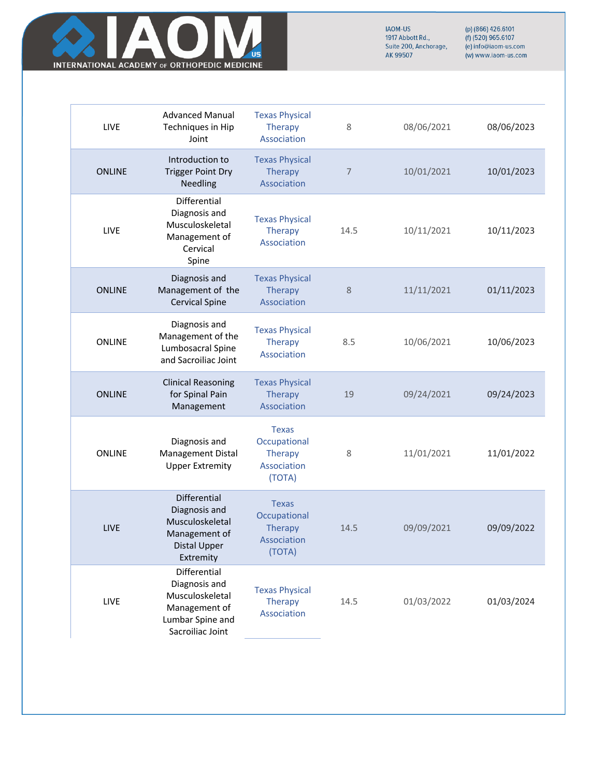

| <b>LIVE</b>   | <b>Advanced Manual</b><br>Techniques in Hip<br>Joint                                                      | <b>Texas Physical</b><br><b>Therapy</b><br>Association                  | 8    | 08/06/2021 | 08/06/2023 |
|---------------|-----------------------------------------------------------------------------------------------------------|-------------------------------------------------------------------------|------|------------|------------|
| <b>ONLINE</b> | Introduction to<br><b>Trigger Point Dry</b><br>Needling                                                   | <b>Texas Physical</b><br>Therapy<br>Association                         | 7    | 10/01/2021 | 10/01/2023 |
| LIVE          | Differential<br>Diagnosis and<br>Musculoskeletal<br>Management of<br>Cervical<br>Spine                    | <b>Texas Physical</b><br>Therapy<br>Association                         | 14.5 | 10/11/2021 | 10/11/2023 |
| <b>ONLINE</b> | Diagnosis and<br>Management of the<br><b>Cervical Spine</b>                                               | <b>Texas Physical</b><br>Therapy<br>Association                         | 8    | 11/11/2021 | 01/11/2023 |
| <b>ONLINE</b> | Diagnosis and<br>Management of the<br>Lumbosacral Spine<br>and Sacroiliac Joint                           | <b>Texas Physical</b><br><b>Therapy</b><br>Association                  | 8.5  | 10/06/2021 | 10/06/2023 |
| <b>ONLINE</b> | <b>Clinical Reasoning</b><br>for Spinal Pain<br>Management                                                | <b>Texas Physical</b><br>Therapy<br>Association                         | 19   | 09/24/2021 | 09/24/2023 |
| <b>ONLINE</b> | Diagnosis and<br>Management Distal<br><b>Upper Extremity</b>                                              | <b>Texas</b><br>Occupational<br><b>Therapy</b><br>Association<br>(TOTA) | 8    | 11/01/2021 | 11/01/2022 |
| LIVE          | Differential<br>Diagnosis and<br>Musculoskeletal<br>Management of<br>Distal Upper<br>Extremity            | <b>Texas</b><br>Occupational<br><b>Therapy</b><br>Association<br>(TOTA) | 14.5 | 09/09/2021 | 09/09/2022 |
| LIVE          | Differential<br>Diagnosis and<br>Musculoskeletal<br>Management of<br>Lumbar Spine and<br>Sacroiliac Joint | <b>Texas Physical</b><br>Therapy<br>Association                         | 14.5 | 01/03/2022 | 01/03/2024 |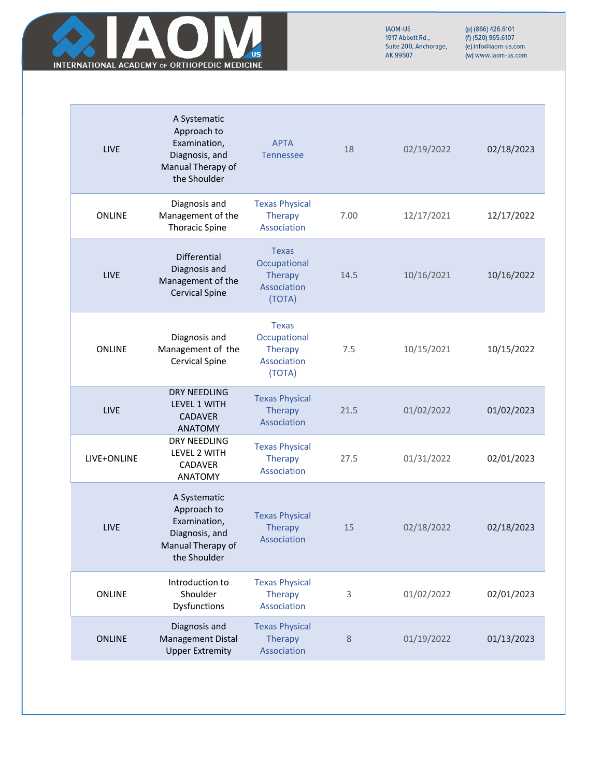

| <b>LIVE</b>   | A Systematic<br>Approach to<br>Examination,<br>Diagnosis, and<br>Manual Therapy of<br>the Shoulder | <b>APTA</b><br><b>Tennessee</b>                                         | 18   | 02/19/2022 | 02/18/2023 |
|---------------|----------------------------------------------------------------------------------------------------|-------------------------------------------------------------------------|------|------------|------------|
| <b>ONLINE</b> | Diagnosis and<br>Management of the<br><b>Thoracic Spine</b>                                        | <b>Texas Physical</b><br>Therapy<br>Association                         | 7.00 | 12/17/2021 | 12/17/2022 |
| <b>LIVE</b>   | Differential<br>Diagnosis and<br>Management of the<br><b>Cervical Spine</b>                        | <b>Texas</b><br>Occupational<br><b>Therapy</b><br>Association<br>(TOTA) | 14.5 | 10/16/2021 | 10/16/2022 |
| <b>ONLINE</b> | Diagnosis and<br>Management of the<br><b>Cervical Spine</b>                                        | <b>Texas</b><br>Occupational<br>Therapy<br>Association<br>(TOTA)        | 7.5  | 10/15/2021 | 10/15/2022 |
| LIVE          | <b>DRY NEEDLING</b><br>LEVEL 1 WITH<br><b>CADAVER</b><br><b>ANATOMY</b>                            | <b>Texas Physical</b><br><b>Therapy</b><br>Association                  | 21.5 | 01/02/2022 | 01/02/2023 |
| LIVE+ONLINE   | DRY NEEDLING<br>LEVEL 2 WITH<br>CADAVER<br><b>ANATOMY</b>                                          | <b>Texas Physical</b><br>Therapy<br>Association                         | 27.5 | 01/31/2022 | 02/01/2023 |
| LIVE          | A Systematic<br>Approach to<br>Examination,<br>Diagnosis, and<br>Manual Therapy of<br>the Shoulder | <b>Texas Physical</b><br><b>Therapy</b><br>Association                  | 15   | 02/18/2022 | 02/18/2023 |
| <b>ONLINE</b> | Introduction to<br>Shoulder<br>Dysfunctions                                                        | <b>Texas Physical</b><br><b>Therapy</b><br>Association                  | 3    | 01/02/2022 | 02/01/2023 |
| <b>ONLINE</b> | Diagnosis and<br><b>Management Distal</b><br><b>Upper Extremity</b>                                | <b>Texas Physical</b><br><b>Therapy</b><br>Association                  | 8    | 01/19/2022 | 01/13/2023 |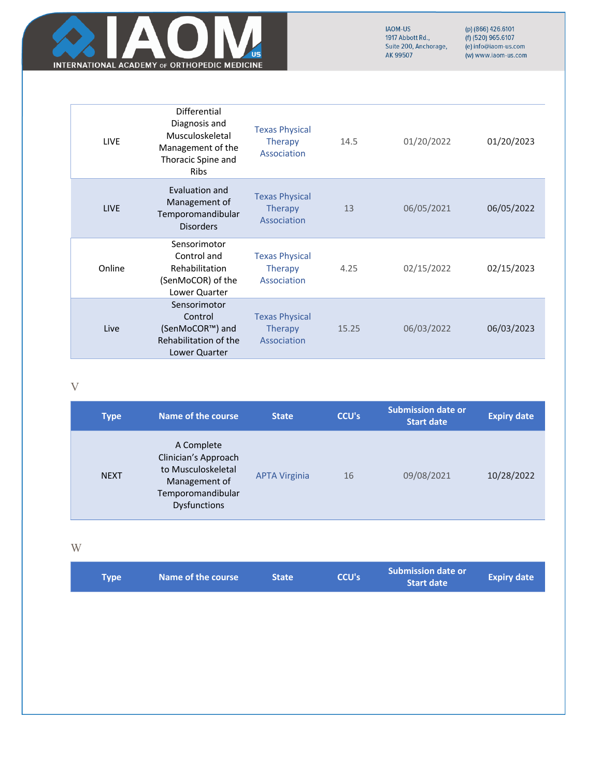

(p) (866) 426.6101<br>(f) (520) 965.6107<br>(e) info@iaom-us.com (w) www.iaom-us.com

| <b>LIVE</b> | Differential<br>Diagnosis and<br>Musculoskeletal<br>Management of the<br>Thoracic Spine and<br><b>Ribs</b> | <b>Texas Physical</b><br><b>Therapy</b><br>Association | 14.5  | 01/20/2022 | 01/20/2023 |
|-------------|------------------------------------------------------------------------------------------------------------|--------------------------------------------------------|-------|------------|------------|
| <b>LIVE</b> | <b>Evaluation and</b><br>Management of<br>Temporomandibular<br><b>Disorders</b>                            | <b>Texas Physical</b><br><b>Therapy</b><br>Association | 13    | 06/05/2021 | 06/05/2022 |
| Online      | Sensorimotor<br>Control and<br>Rehabilitation<br>(SenMoCOR) of the<br>Lower Quarter                        | <b>Texas Physical</b><br><b>Therapy</b><br>Association | 4.25  | 02/15/2022 | 02/15/2023 |
| Live        | Sensorimotor<br>Control<br>(SenMoCOR™) and<br>Rehabilitation of the<br>Lower Quarter                       | <b>Texas Physical</b><br><b>Therapy</b><br>Association | 15.25 | 06/03/2022 | 06/03/2023 |

#### V

| <b>Type</b> | Name of the course                                                                                                    | <b>State</b>         | <b>CCU's</b> | <b>Submission date or</b><br><b>Start date</b> | <b>Expiry date</b> |
|-------------|-----------------------------------------------------------------------------------------------------------------------|----------------------|--------------|------------------------------------------------|--------------------|
| <b>NEXT</b> | A Complete<br>Clinician's Approach<br>to Musculoskeletal<br>Management of<br>Temporomandibular<br><b>Dysfunctions</b> | <b>APTA Virginia</b> | 16           | 09/08/2021                                     | 10/28/2022         |

#### W

| <b>Type</b> | Name of the course | <b>State</b> | <b>CCU's</b> | Submission date or<br><b>Start date</b> | <b>Expiry date</b> |
|-------------|--------------------|--------------|--------------|-----------------------------------------|--------------------|
|             |                    |              |              |                                         |                    |